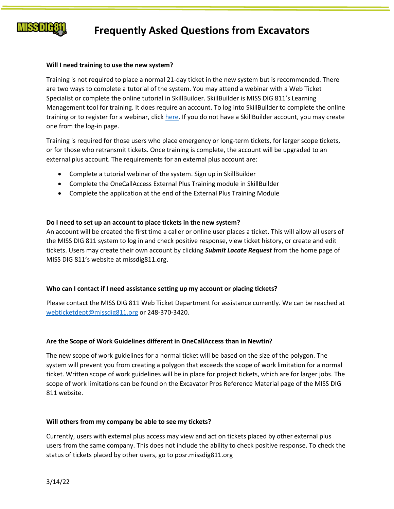

## **Frequently Asked Questions from Excavators**

#### **Will I need training to use the new system?**

Training is not required to place a normal 21-day ticket in the new system but is recommended. There are two ways to complete a tutorial of the system. You may attend a webinar with a Web Ticket Specialist or complete the online tutorial in SkillBuilder. SkillBuilder is MISS DIG 811's Learning Management tool for training. It does require an account. To log into SkillBuilder to complete the online training or to register for a webinar, click [here.](https://missdig811.skillbuilder.co/sign-in) If you do not have a SkillBuilder account, you may create one from the log-in page.

Training is required for those users who place emergency or long-term tickets, for larger scope tickets, or for those who retransmit tickets. Once training is complete, the account will be upgraded to an external plus account. The requirements for an external plus account are:

- Complete a tutorial webinar of the system. Sign up in SkillBuilder
- Complete the OneCallAccess External Plus Training module in SkillBuilder
- Complete the application at the end of the External Plus Training Module

#### **Do I need to set up an account to place tickets in the new system?**

An account will be created the first time a caller or online user places a ticket. This will allow all users of the MISS DIG 811 system to log in and check positive response, view ticket history, or create and edit tickets. Users may create their own account by clicking *Submit Locate Request* from the home page of MISS DIG 811's website at missdig811.org.

#### **Who can I contact if I need assistance setting up my account or placing tickets?**

Please contact the MISS DIG 811 Web Ticket Department for assistance currently. We can be reached at [webticketdept@missdig811.org](mailto:webticketdept@missdig811.org) or 248-370-3420.

#### **Are the Scope of Work Guidelines different in OneCallAccess than in Newtin?**

The new scope of work guidelines for a normal ticket will be based on the size of the polygon. The system will prevent you from creating a polygon that exceeds the scope of work limitation for a normal ticket. Written scope of work guidelines will be in place for project tickets, which are for larger jobs. The scope of work limitations can be found on the Excavator Pros Reference Material page of the MISS DIG 811 website.

#### **Will others from my company be able to see my tickets?**

Currently, users with external plus access may view and act on tickets placed by other external plus users from the same company. This does not include the ability to check positive response. To check the status of tickets placed by other users, go to posr.missdig811.org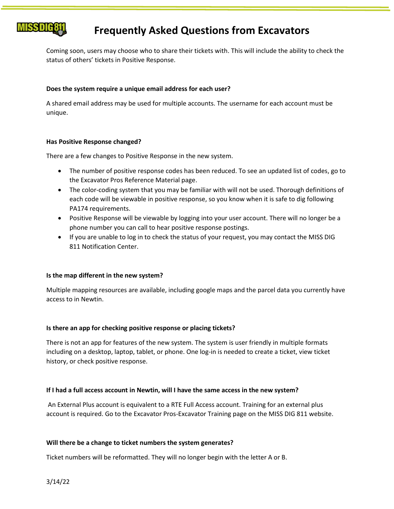

## **Frequently Asked Questions from Excavators**

Coming soon, users may choose who to share their tickets with. This will include the ability to check the status of others' tickets in Positive Response.

#### **Does the system require a unique email address for each user?**

A shared email address may be used for multiple accounts. The username for each account must be unique.

### **Has Positive Response changed?**

There are a few changes to Positive Response in the new system.

- The number of positive response codes has been reduced. To see an updated list of codes, go to the Excavator Pros Reference Material page.
- The color-coding system that you may be familiar with will not be used. Thorough definitions of each code will be viewable in positive response, so you know when it is safe to dig following PA174 requirements.
- Positive Response will be viewable by logging into your user account. There will no longer be a phone number you can call to hear positive response postings.
- If you are unable to log in to check the status of your request, you may contact the MISS DIG 811 Notification Center.

#### **Is the map different in the new system?**

Multiple mapping resources are available, including google maps and the parcel data you currently have access to in Newtin.

#### **Is there an app for checking positive response or placing tickets?**

There is not an app for features of the new system. The system is user friendly in multiple formats including on a desktop, laptop, tablet, or phone. One log-in is needed to create a ticket, view ticket history, or check positive response.

#### **If I had a full access account in Newtin, will I have the same access in the new system?**

An External Plus account is equivalent to a RTE Full Access account. Training for an external plus account is required. Go to the Excavator Pros-Excavator Training page on the MISS DIG 811 website.

#### **Will there be a change to ticket numbers the system generates?**

Ticket numbers will be reformatted. They will no longer begin with the letter A or B.